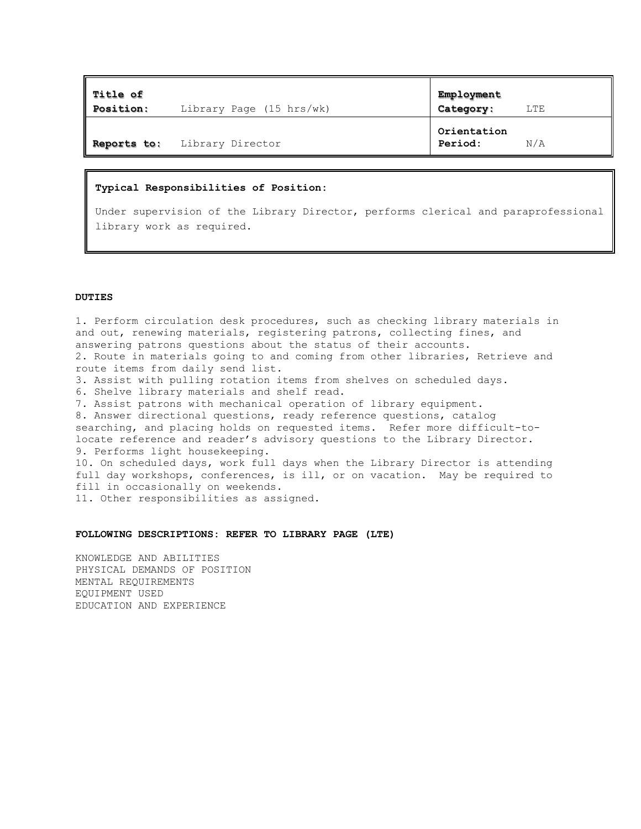| $\parallel$ Title of<br><b>Position:</b> |                              | Employment             |     |
|------------------------------------------|------------------------------|------------------------|-----|
|                                          | Library Page (15 hrs/wk)     | Category:              | LTE |
|                                          | Reports to: Library Director | Orientation<br>Period: | N/A |

## **Typical Responsibilities of Position:**

Under supervision of the Library Director, performs clerical and paraprofessional library work as required.

## **DUTIES**

1. Perform circulation desk procedures, such as checking library materials in and out, renewing materials, registering patrons, collecting fines, and answering patrons questions about the status of their accounts. 2. Route in materials going to and coming from other libraries, Retrieve and route items from daily send list. 3. Assist with pulling rotation items from shelves on scheduled days. 6. Shelve library materials and shelf read. 7. Assist patrons with mechanical operation of library equipment. 8. Answer directional questions, ready reference questions, catalog searching, and placing holds on requested items. Refer more difficult-tolocate reference and reader's advisory questions to the Library Director. 9. Performs light housekeeping. 10. On scheduled days, work full days when the Library Director is attending full day workshops, conferences, is ill, or on vacation. May be required to fill in occasionally on weekends. 11. Other responsibilities as assigned.

## **FOLLOWING DESCRIPTIONS: REFER TO LIBRARY PAGE (LTE)**

KNOWLEDGE AND ABILITIES PHYSICAL DEMANDS OF POSITION MENTAL REQUIREMENTS EQUIPMENT USED EDUCATION AND EXPERIENCE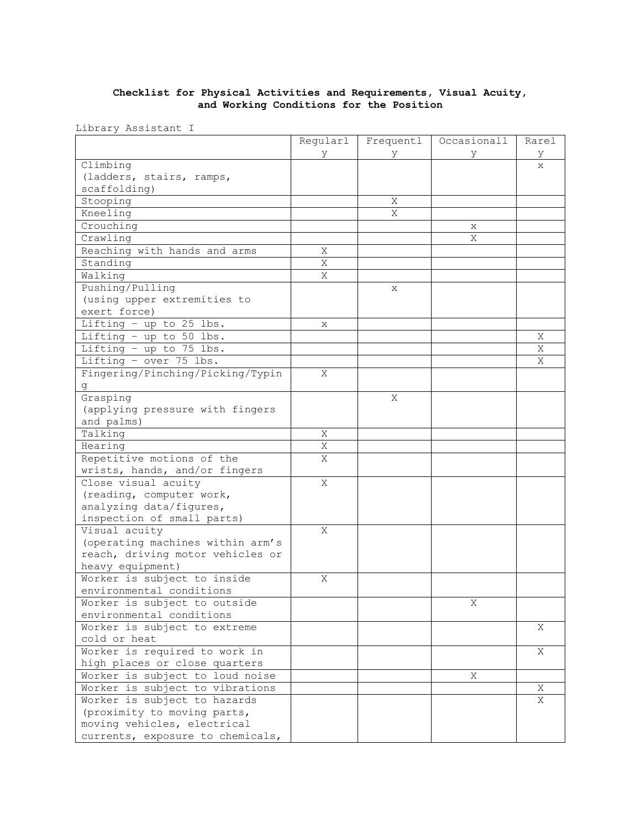## **Checklist for Physical Activities and Requirements, Visual Acuity, and Working Conditions for the Position**

Library Assistant I

|                                  | Regularl | Frequentl | Occasionall | Rarel |
|----------------------------------|----------|-----------|-------------|-------|
|                                  | У        | У         | У           | У     |
| Climbing                         |          |           |             | X     |
| (ladders, stairs, ramps,         |          |           |             |       |
| scaffolding)                     |          |           |             |       |
| Stooping                         |          | X         |             |       |
| Kneeling                         |          | X         |             |       |
| Crouching                        |          |           | X           |       |
| Crawling                         |          |           | X           |       |
| Reaching with hands and arms     | Χ        |           |             |       |
| Standing                         | Χ        |           |             |       |
| Walking                          | Χ        |           |             |       |
| Pushing/Pulling                  |          | X         |             |       |
| (using upper extremities to      |          |           |             |       |
| exert force)                     |          |           |             |       |
| Lifting - up to $25$ lbs.        | X        |           |             |       |
| Lifting - up to 50 lbs.          |          |           |             | Χ     |
| Lifting - up to 75 lbs.          |          |           |             | X     |
| Lifting - over 75 lbs.           |          |           |             | X     |
| Fingering/Pinching/Picking/Typin | Χ        |           |             |       |
| g                                |          |           |             |       |
| Grasping                         |          | Χ         |             |       |
| (applying pressure with fingers  |          |           |             |       |
| and palms)                       |          |           |             |       |
| Talking                          | Χ        |           |             |       |
| Hearing                          | Χ        |           |             |       |
| Repetitive motions of the        | X        |           |             |       |
| wrists, hands, and/or fingers    |          |           |             |       |
| Close visual acuity              | X        |           |             |       |
| (reading, computer work,         |          |           |             |       |
| analyzing data/figures,          |          |           |             |       |
| inspection of small parts)       |          |           |             |       |
| Visual acuity                    | X        |           |             |       |
| (operating machines within arm's |          |           |             |       |
| reach, driving motor vehicles or |          |           |             |       |
| heavy equipment)                 |          |           |             |       |
| Worker is subject to inside      | X        |           |             |       |
| environmental conditions         |          |           |             |       |
| Worker is subject to outside     |          |           | Χ           |       |
| environmental conditions         |          |           |             |       |
| Worker is subject to extreme     |          |           |             | X     |
| cold or heat                     |          |           |             |       |
| Worker is required to work in    |          |           |             | Χ     |
| high places or close quarters    |          |           |             |       |
| Worker is subject to loud noise  |          |           | Χ           |       |
| Worker is subject to vibrations  |          |           |             | Χ     |
| Worker is subject to hazards     |          |           |             | X     |
| (proximity to moving parts,      |          |           |             |       |
| moving vehicles, electrical      |          |           |             |       |
| currents, exposure to chemicals, |          |           |             |       |